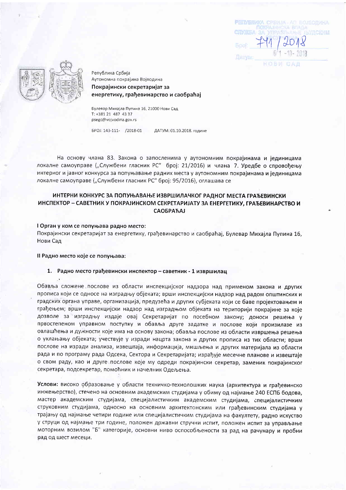PETIVERMICA CPEMIA - AFT BOJSODINIA

 $741/2018$ 



Република Србија Аутономна покрајина Војводина Покрајински секретаријат за енергетику, грађевинарство и саобраћај

Булевар Михајла Пупина 16, 21000 Нови Сад T: +381 21 487 43 37 psegc@vojvodina.gov.rs

EPOJ: 143-111- /2018-01 ДАТУМ: 01.10.2018. године

На основу члана 83. Закона о запосленима у аутономним покрајинама и јединицама локалне самоуправе ("Службени гласник РС" број: 21/2016) и члана 7. Уредбе о спровођењу интерног и јавног конкурса за попуњавање радних места у аутономним покрајинама и јединицама локалне самоуправе ("Службени гласник РС" број: 95/2016), оглашава се

# ИНТЕРНИ КОНКУРС ЗА ПОПУЊАВАЊЕ ИЗВРШИЛАЧКОГ РАДНОГ МЕСТА ГРАЂЕВИНСКИ ИНСПЕКТОР - САВЕТНИК У ПОКРАЈИНСКОМ СЕКРЕТАРИЈАТУ ЗА ЕНЕРГЕТИКУ, ГРАЂЕВИНАРСТВО И **САОБРАЋАЈ**

## I Орган у ком се попуњава радно место:

Покрајински секретаријат за енергетику, грађевинарство и саобраћај, Булевар Михајла Пупина 16, Нови Сад

#### Il Радно место које се попуњава:

### 1. Радно место грађевински инспектор - саветник - 1 извршилац

Обавља сложене послове из области инспекцијског надзора над применом закона и других прописа који се односе на изградњу објеката; врши инспекцијски надзор над радом општинских и градских органа управе, организација, предузећа и других субјеката који се баве пројектовањем и грађењем; врши инспекцијски надзор над изградњом објеката на територији покрајине за које дозволе за изградњу издаје овај Секретаријат по посебном закону; доноси решења у првостепеном управном поступку и обавља друге задатке и послове који произилазе из овлашћења и дужности које има на основу закона; обавља послове из области извршења решења о уклањању објеката; учествује у изради нацрта закона и других прописа из тих области; врши послове на изради анализа, извештаја, информација, мишљења и других материјала из области рада и по програму рада Одсека, Сектора и Секретаријата; израђује месечне планове и извештаје о свом раду, као и друге послове које му одреди покрајински секретар, заменик покрајинског секретара, подсекретар, помоћник и начелник Одељења.

Услови: високо образовање у области техничко-технолошких наука (архитектура и грађевинско инжењерство), стечено на основним академским студијама у обиму од најмање 240 ЕСПБ бодова, мастер академским студијама, специјалистичким академским студијама, специјалистичким струковним студијама, односно на основним архитектонским или грађевинским студијама у трајању од најмање четири године или специјалистичким студијама на факултету, радно искуство у струци од најмање три године, положен државни стручни испит, положен испит за управљање моторним возилом "Б" категорије, основни ниво оспособљености за рад на рачунару и пробни рад од шест месеци.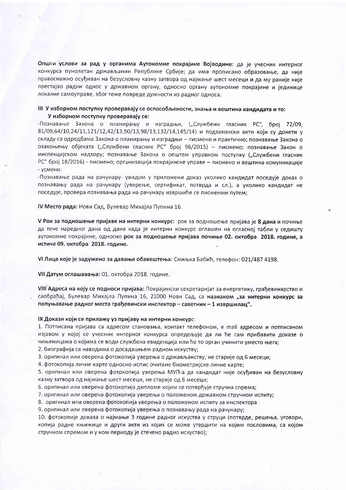Општи услови за рад у органима Аутономне покрајине Војводине: да је учесник интерног конкурса пунолетан држављанин Републике Србије; да има прописано образовање, да није правоснажно осуђиван на безусловну казну затвора од најмање шест месеци и да му раније није престајао радни однос у државном органу, односно органу аутономне покрајине и јединице локалне самоуправе, због теже повреде дужности из радног односа.

### III У изборном поступку проверавају се оспособљености, знања и вештина кандидата и то: У изборном поступку проверавају се:

-Познавање Закона о планирању и изградњи, ("Службени гласник РС", број 72/09, 81/09,64/10,24/11,121/12,42/13,50/13,98/13,132/14,145/14) и подзаконски акти који су донети у складу са одредбама Закона о планирању и изградњи - писмено и практично; познавање Закона о озакоњењу објеката ("Службени гласник РС" број 96/2015) - писмено; познавање Закон о инспекцијском надзору; познавање Закона о општем управном поступку ("Службени гласник РС" број 18/2016) - писмено; организација покрајинске управе - писмено и вештина комуникације - усмено.

-Познавање рада на рачунару- увидом у приложени доказ уколико кандидат поседује доказ о познавању рада на рачунару (уверење, сертификат, потврда и сл.), а уколико кандидат не поседује, провера познавања рада на рачунару извршиће се писменим путем;

IV Место рада: Нови Сад, Булевар Михајла Пупина 16.

V Рок за подношење пријаве на интерни конкурс: рок за подношење пријава је 8 дана и почиње да тече наредног дана од дана када је интерни конкурс оглашен на огласној табли у седишту аутономне покрајине, односно рок за подношење пријава почиње 02. октобра 2018. године, а истиче 09. октобра 2018. године.

VI Лице које је задужено за давање обавештења: Смиљка Бабић, телефон: 021/487 4198.

VII Датум оглашавања: 01. октобра 2018. године.

VIII Адреса на коју се подноси пријава: Покрајински секретаријат за енергетику, грађевинарство и саобраћај, Булевар Михајла Пупина 16, 21000 Нови Сад, са назнаком "за интерни конкурс за попуњавање радног места грађевински инспектор - саветник - 1 извршилац".

### IX Докази који се прилажу уз пријаву на интерни конкурс:

1. Потписана пријава са адресом становања, контакт телефоном, е mail адресом и потписаном изјавом у којој се учесник интерног конкурса опредељује да ли ће сам прибавити доказе о чињеницама о којима се води службена евиденција или ће то орган учинити уместо њега;

2. биографија са наводима о досадашњем радном искуству;

3. оригинал или оверена фотокопија уверења о држављанству, не старије од 6 месеци;

4. фотокопија личне карте односно испис очитане биометријске личне карте;

5. оригинал или оверена фотокопија уверења МУП-а да кандидат није осуђиван на безусловну казну затвора од најмање шест месеци, не старије од 6 месеци;

6. оригинал или оверена фотокопија дипломе којим се потврђује стручна спрема;

7. оригинал или оверена фотокопија уверења о положеном државном стручном испиту;

8. оригинал или оверена фотокопија уверења о положеном испиту за инспектора

9. оригинал или оверена фотокопија уверења о познавању рада на рачунару;

10. фотокопије доказа о најмање 3 године радног искуства у струци (потврде, решења, уговори, копија радне књижице и други акти из којих се може утврдити на којим пословима, са којом стручном спремом и у ком периоду је стечено радно искуство);